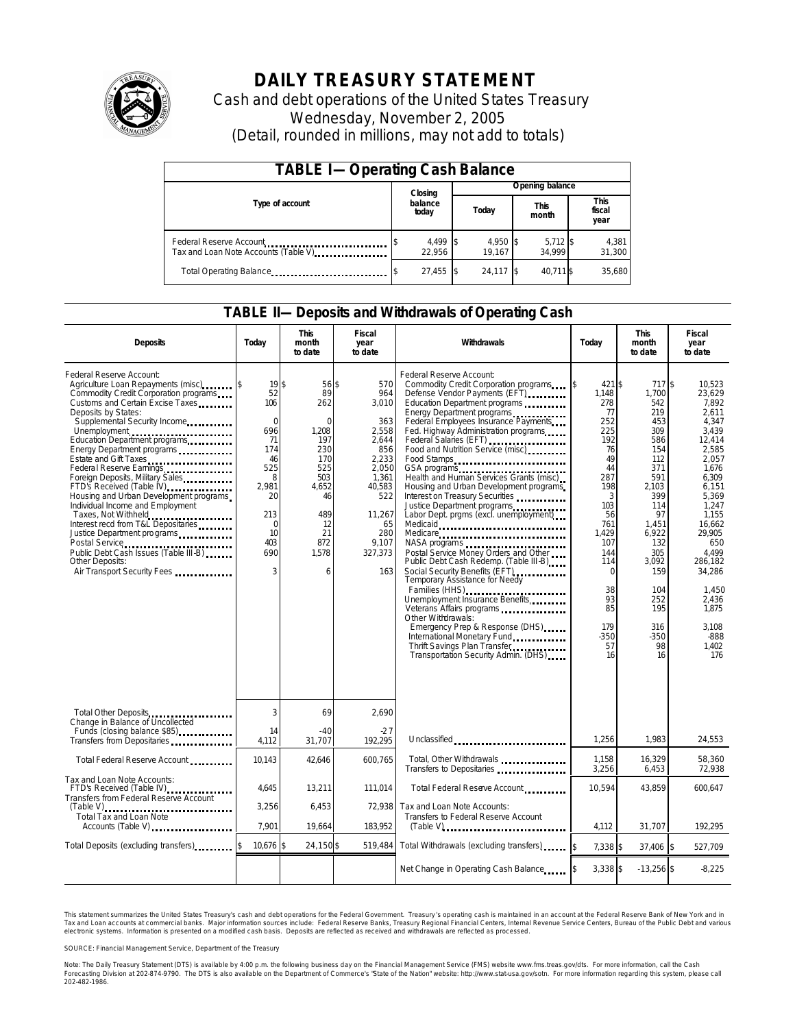

# **DAILY TREASURY STATEMENT**

Cash and debt operations of the United States Treasury Wednesday, November 2, 2005 (Detail, rounded in millions, may not add to totals)

| <b>TABLE I-Operating Cash Balance</b>                           |                  |                    |       |                    |                      |                      |                               |                 |  |
|-----------------------------------------------------------------|------------------|--------------------|-------|--------------------|----------------------|----------------------|-------------------------------|-----------------|--|
|                                                                 |                  | Closing            |       | Opening balance    |                      |                      |                               |                 |  |
| Type of account                                                 | balance<br>today |                    | Today |                    | <b>This</b><br>month |                      | <b>This</b><br>fiscal<br>year |                 |  |
| Federal Reserve Account<br>Tax and Loan Note Accounts (Table V) |                  | 4,499 \$<br>22.956 |       | 4,950 \$<br>19.167 |                      | $5,712$ \$<br>34.999 |                               | 4,381<br>31,300 |  |
| Total Operating Balance                                         |                  | 27,455 \$          |       | 24,117 \$          |                      | 40,711 \$            |                               | 35,680          |  |

#### **TABLE II—Deposits and Withdrawals of Operating Cash**

| <b>Deposits</b>                                                                                                                                                                                                                                                                                                                                                                                                                                                                                                                                                                                                                                                                   | Today                                                                                                                              | <b>This</b><br>month<br>to date                                                                                                   | <b>Fiscal</b><br>year<br>to date                                                                                                                  | Withdrawals                                                                                                                                                                                                                                                                                                                                                                                                                                                                                                                                                                                                                                                                                                                                                                                                                                                                                                                                                               | Today                                                                                                                                                                                                     | <b>This</b><br>month<br>to date                                                                                                                                                                              | <b>Fiscal</b><br>year<br>to date                                                                                                                                                                                                                              |
|-----------------------------------------------------------------------------------------------------------------------------------------------------------------------------------------------------------------------------------------------------------------------------------------------------------------------------------------------------------------------------------------------------------------------------------------------------------------------------------------------------------------------------------------------------------------------------------------------------------------------------------------------------------------------------------|------------------------------------------------------------------------------------------------------------------------------------|-----------------------------------------------------------------------------------------------------------------------------------|---------------------------------------------------------------------------------------------------------------------------------------------------|---------------------------------------------------------------------------------------------------------------------------------------------------------------------------------------------------------------------------------------------------------------------------------------------------------------------------------------------------------------------------------------------------------------------------------------------------------------------------------------------------------------------------------------------------------------------------------------------------------------------------------------------------------------------------------------------------------------------------------------------------------------------------------------------------------------------------------------------------------------------------------------------------------------------------------------------------------------------------|-----------------------------------------------------------------------------------------------------------------------------------------------------------------------------------------------------------|--------------------------------------------------------------------------------------------------------------------------------------------------------------------------------------------------------------|---------------------------------------------------------------------------------------------------------------------------------------------------------------------------------------------------------------------------------------------------------------|
| Federal Reserve Account:<br>Agriculture Loan Repayments (misc)<br>Commodity Credit Corporation programs<br>Customs and Certain Excise Taxes<br>Deposits by States:<br>Supplemental Security Income<br>Unemployment<br>Education Department programs<br>Energy Department programs<br>Estate and Gift Taxes<br><br>Federal Reserve Earnings<br>Foreign Deposits, Military Sales<br>FTD's Received (Table IV)<br>Housing and Urban Development programs<br>Individual Income and Employment<br>Taxes, Not Withheld<br>Interest recd from T&L Depositaries<br>Justice Department programs<br>Public Debt Cash Issues (Table III-B)<br>Other Deposits:<br>Air Transport Security Fees | 19 <sup>5</sup><br>52<br>106<br>$\Omega$<br>696<br>71<br>174<br>46<br>525<br>8<br>2,981<br>20<br>213<br>0<br>10<br>403<br>690<br>3 | 56 \$<br>89<br>262<br>$\Omega$<br>1.208<br>197<br>230<br>170<br>525<br>503<br>4,652<br>46<br>489<br>12<br>21<br>872<br>1,578<br>6 | 570<br>964<br>3,010<br>363<br>2,558<br>2,644<br>856<br>2,233<br>2,050<br>1.361<br>40,583<br>522<br>11,267<br>65<br>280<br>9.107<br>327,373<br>163 | Federal Reserve Account:<br>Commodity Credit Corporation programs<br>Defense Vendor Payments (EFT)<br>Education Department programs<br>Energy Department programs<br>Federal Employees Insurance Payments<br>Fed. Highway Administration programs<br>Federal Salaries (EFT)<br>Food and Nutrition Service (misc)<br>Food Stamps<br>GSA programs<br>Health and Human Services Grants (misc)<br>Housing and Urban Development programs<br>Interest on Treasury Securities<br>Justice Department programs<br>Labor Dept. prgms (excl. unemployment)<br>Medicaid<br>Medicare<br>NASA programs<br>Postal Service Money Orders and Other<br>Public Debt Cash Redemp. (Table III-B)<br>Social Security Benefits (EFT)<br><br>Temporary Assistance for Needy<br>Families (HHS)<br>Unemployment Insurance Benefits<br>Other Withdrawals:<br>Emergency Prep & Response (DHS)<br>International Monetary Fund<br>Thrift Savings Plan Transfer<br>Transportation Security Admin. (DHS) | 421 \$<br>\$<br>1,148<br>278<br>77<br>252<br>225<br>192<br>76<br>49<br>44<br>287<br>198<br>3<br>103<br>56<br>761<br>1,429<br>107<br>144<br>114<br>$\Omega$<br>38<br>93<br>85<br>179<br>$-350$<br>57<br>16 | 717\$<br>1,700<br>542<br>219<br>453<br>309<br>586<br>154<br>112<br>371<br>591<br>2,103<br>399<br>114<br>97<br>1.451<br>6,922<br>132<br>305<br>3,092<br>159<br>104<br>252<br>195<br>316<br>$-350$<br>98<br>16 | 10,523<br>23,629<br>7.892<br>2.611<br>4,347<br>3.439<br>12.414<br>2.585<br>2.057<br>1,676<br>6.309<br>6,151<br>5.369<br>1.247<br>1.155<br>16.662<br>29,905<br>650<br>4.499<br>286.182<br>34,286<br>1.450<br>2,436<br>1.875<br>3.108<br>$-888$<br>1.402<br>176 |
| Total Other Deposits<br>Change in Balance of Uncollected                                                                                                                                                                                                                                                                                                                                                                                                                                                                                                                                                                                                                          | 3                                                                                                                                  | 69                                                                                                                                | 2.690                                                                                                                                             |                                                                                                                                                                                                                                                                                                                                                                                                                                                                                                                                                                                                                                                                                                                                                                                                                                                                                                                                                                           |                                                                                                                                                                                                           |                                                                                                                                                                                                              |                                                                                                                                                                                                                                                               |
| Funds (closing balance \$85)<br>Funds (closing balance \$85)<br>Transfers from Depositaries                                                                                                                                                                                                                                                                                                                                                                                                                                                                                                                                                                                       | 14<br>4.112                                                                                                                        | $-40$<br>31.707                                                                                                                   | $-27$<br>192.295                                                                                                                                  | Unclassified                                                                                                                                                                                                                                                                                                                                                                                                                                                                                                                                                                                                                                                                                                                                                                                                                                                                                                                                                              | 1,256                                                                                                                                                                                                     | 1.983                                                                                                                                                                                                        | 24,553                                                                                                                                                                                                                                                        |
| Total Federal Reserve Account                                                                                                                                                                                                                                                                                                                                                                                                                                                                                                                                                                                                                                                     | 10,143                                                                                                                             | 42,646                                                                                                                            | 600,765                                                                                                                                           | Total, Other Withdrawals<br>Transfers to Depositaries                                                                                                                                                                                                                                                                                                                                                                                                                                                                                                                                                                                                                                                                                                                                                                                                                                                                                                                     | 1,158<br>3,256                                                                                                                                                                                            | 16,329<br>6,453                                                                                                                                                                                              | 58,360<br>72,938                                                                                                                                                                                                                                              |
| Tax and Loan Note Accounts:<br>FTD's Received (Table IV)<br>Transfers from Federal Reserve Account                                                                                                                                                                                                                                                                                                                                                                                                                                                                                                                                                                                | 4,645                                                                                                                              | 13,211                                                                                                                            | 111,014                                                                                                                                           | Total Federal Reserve Account                                                                                                                                                                                                                                                                                                                                                                                                                                                                                                                                                                                                                                                                                                                                                                                                                                                                                                                                             | 10,594                                                                                                                                                                                                    | 43,859                                                                                                                                                                                                       | 600,647                                                                                                                                                                                                                                                       |
| <b>Total Tax and Loan Note</b><br>Accounts (Table V)                                                                                                                                                                                                                                                                                                                                                                                                                                                                                                                                                                                                                              | 3,256<br>7.901                                                                                                                     | 6,453<br>19,664                                                                                                                   | 72.938<br>183,952                                                                                                                                 | Tax and Loan Note Accounts:<br>Transfers to Federal Reserve Account                                                                                                                                                                                                                                                                                                                                                                                                                                                                                                                                                                                                                                                                                                                                                                                                                                                                                                       | 4.112                                                                                                                                                                                                     | 31.707                                                                                                                                                                                                       | 192.295                                                                                                                                                                                                                                                       |
| Total Deposits (excluding transfers)                                                                                                                                                                                                                                                                                                                                                                                                                                                                                                                                                                                                                                              | 10,676 \$                                                                                                                          | 24,150 \$                                                                                                                         | 519,484                                                                                                                                           | Total Withdrawals (excluding transfers)                                                                                                                                                                                                                                                                                                                                                                                                                                                                                                                                                                                                                                                                                                                                                                                                                                                                                                                                   | $7.338$ \$                                                                                                                                                                                                | 37.406 \$                                                                                                                                                                                                    | 527,709                                                                                                                                                                                                                                                       |
|                                                                                                                                                                                                                                                                                                                                                                                                                                                                                                                                                                                                                                                                                   |                                                                                                                                    |                                                                                                                                   |                                                                                                                                                   | Net Change in Operating Cash Balance                                                                                                                                                                                                                                                                                                                                                                                                                                                                                                                                                                                                                                                                                                                                                                                                                                                                                                                                      | 3,338 \$                                                                                                                                                                                                  | $-13,256$ \$                                                                                                                                                                                                 | $-8,225$                                                                                                                                                                                                                                                      |

This statement summarizes the United States Treasury's cash and debt operations for the Federal Government. Treasury's operating cash is maintained in an account at the Federal Reserve Bank of New York and in Tax and Loan accounts at commercial banks. Major information sources include: Federal Reserve Banks, Treasury Regional Financial Centers, Internal Revenue Service Centers, Bureau of the Public Debt and various<br>electronic s

SOURCE: Financial Management Service, Department of the Treasury

Note: The Daily Treasury Statement (DTS) is available by 4:00 p.m. the following business day on the Financial Management Service (FMS) website www.fms.treas.gov/dts.<br>Forecasting Division at 202-874-9790. The DTS is also a S) is available by 4:00 p.m. the following business day on the Financial Management Service (FMS) website www.fms.treas.gov/dts. For more information, call the Cash<br>The DTS is also available on the Department of Commerce's